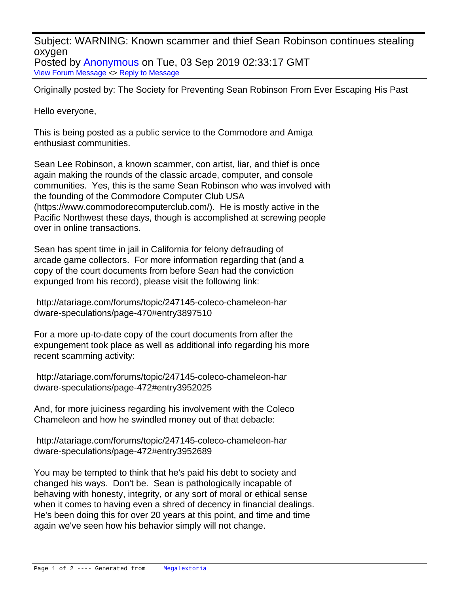Subject: WARNING: Known scammer and thief Sean Robinson continues stealing oxygen Posted by [Anonymous](http://www.megalextoria.com/forum2/index.php?t=usrinfo&id=) on Tue, 03 Sep 2019 02:33:17 GMT

[View Forum Message](http://www.megalextoria.com/forum2/index.php?t=rview&th=104531&goto=386647#msg_386647) <> [Reply to Message](http://www.megalextoria.com/forum2/index.php?t=post&reply_to=386647)

Originally posted by: The Society for Preventing Sean Robinson From Ever Escaping His Past

Hello everyone,

This is being posted as a public service to the Commodore and Amiga enthusiast communities.

Sean Lee Robinson, a known scammer, con artist, liar, and thief is once again making the rounds of the classic arcade, computer, and console communities. Yes, this is the same Sean Robinson who was involved with the founding of the Commodore Computer Club USA (https://www.commodorecomputerclub.com/). He is mostly active in the Pacific Northwest these days, though is accomplished at screwing people over in online transactions.

Sean has spent time in jail in California for felony defrauding of arcade game collectors. For more information regarding that (and a copy of the court documents from before Sean had the conviction expunged from his record), please visit the following link:

 http://atariage.com/forums/topic/247145-coleco-chameleon-har dware-speculations/page-470#entry3897510

For a more up-to-date copy of the court documents from after the expungement took place as well as additional info regarding his more recent scamming activity:

 http://atariage.com/forums/topic/247145-coleco-chameleon-har dware-speculations/page-472#entry3952025

And, for more juiciness regarding his involvement with the Coleco Chameleon and how he swindled money out of that debacle:

 http://atariage.com/forums/topic/247145-coleco-chameleon-har dware-speculations/page-472#entry3952689

You may be tempted to think that he's paid his debt to society and changed his ways. Don't be. Sean is pathologically incapable of behaving with honesty, integrity, or any sort of moral or ethical sense when it comes to having even a shred of decency in financial dealings. He's been doing this for over 20 years at this point, and time and time again we've seen how his behavior simply will not change.